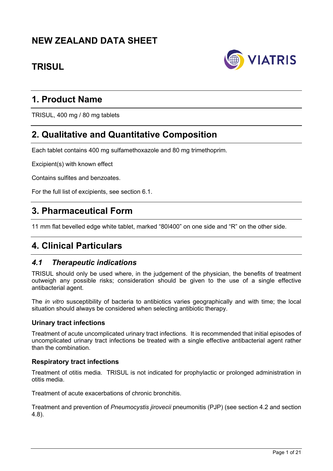# **NEW ZEALAND DATA SHEET**

# **TRISUL**



# **1. Product Name**

TRISUL, 400 mg / 80 mg tablets

# **2. Qualitative and Quantitative Composition**

Each tablet contains 400 mg sulfamethoxazole and 80 mg trimethoprim.

Excipient(s) with known effect

Contains sulfites and benzoates.

For the full list of excipients, see section 6.1.

# **3. Pharmaceutical Form**

11 mm flat bevelled edge white tablet, marked "80ǀ400" on one side and "R" on the other side.

# **4. Clinical Particulars**

# *4.1 Therapeutic indications*

TRISUL should only be used where, in the judgement of the physician, the benefits of treatment outweigh any possible risks; consideration should be given to the use of a single effective antibacterial agent.

The *in vitro* susceptibility of bacteria to antibiotics varies geographically and with time; the local situation should always be considered when selecting antibiotic therapy.

### **Urinary tract infections**

Treatment of acute uncomplicated urinary tract infections. It is recommended that initial episodes of uncomplicated urinary tract infections be treated with a single effective antibacterial agent rather than the combination.

### **Respiratory tract infections**

Treatment of otitis media. TRISUL is not indicated for prophylactic or prolonged administration in otitis media.

Treatment of acute exacerbations of chronic bronchitis.

Treatment and prevention of *Pneumocystis jirovecii* pneumonitis (PJP) (see section 4.2 and section 4.8).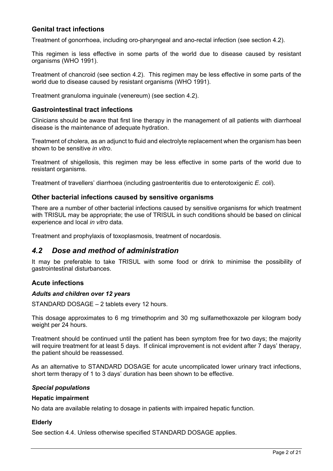# **Genital tract infections**

Treatment of gonorrhoea, including oro-pharyngeal and ano-rectal infection (see section 4.2).

This regimen is less effective in some parts of the world due to disease caused by resistant organisms (WHO 1991).

Treatment of chancroid (see section 4.2). This regimen may be less effective in some parts of the world due to disease caused by resistant organisms (WHO 1991).

Treatment granuloma inguinale (venereum) (see section 4.2).

## **Gastrointestinal tract infections**

Clinicians should be aware that first line therapy in the management of all patients with diarrhoeal disease is the maintenance of adequate hydration.

Treatment of cholera, as an adjunct to fluid and electrolyte replacement when the organism has been shown to be sensitive *in vitro*.

Treatment of shigellosis, this regimen may be less effective in some parts of the world due to resistant organisms.

Treatment of travellers' diarrhoea (including gastroenteritis due to enterotoxigenic *E. coli*).

### **Other bacterial infections caused by sensitive organisms**

There are a number of other bacterial infections caused by sensitive organisms for which treatment with TRISUL may be appropriate; the use of TRISUL in such conditions should be based on clinical experience and local *in vitro* data.

Treatment and prophylaxis of toxoplasmosis, treatment of nocardosis.

# *4.2 Dose and method of administration*

It may be preferable to take TRISUL with some food or drink to minimise the possibility of gastrointestinal disturbances.

### **Acute infections**

#### *Adults and children over 12 years*

STANDARD DOSAGE – 2 tablets every 12 hours.

This dosage approximates to 6 mg trimethoprim and 30 mg sulfamethoxazole per kilogram body weight per 24 hours.

Treatment should be continued until the patient has been symptom free for two days; the majority will require treatment for at least 5 days. If clinical improvement is not evident after 7 days' therapy, the patient should be reassessed.

As an alternative to STANDARD DOSAGE for acute uncomplicated lower urinary tract infections, short term therapy of 1 to 3 days' duration has been shown to be effective.

### *Special populations*

#### **Hepatic impairment**

No data are available relating to dosage in patients with impaired hepatic function.

### **Elderly**

See section 4.4. Unless otherwise specified STANDARD DOSAGE applies.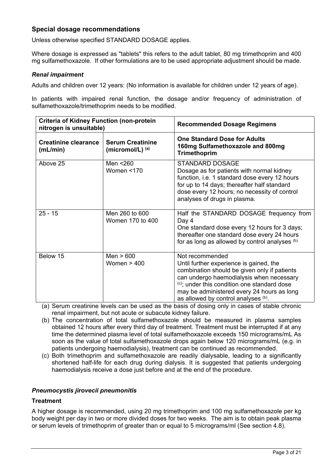## **Special dosage recommendations**

Unless otherwise specified STANDARD DOSAGE applies.

Where dosage is expressed as "tablets" this refers to the adult tablet, 80 mg trimethoprim and 400 mg sulfamethoxazole. If other formulations are to be used appropriate adjustment should be made.

#### *Renal impairment*

Adults and children over 12 years: (No information is available for children under 12 years of age).

In patients with impaired renal function, the dosage and/or frequency of administration of sulfamethoxazole/trimethoprim needs to be modified.

| <b>Criteria of Kidney Function (non-protein</b><br>nitrogen is unsuitable) |                                               | <b>Recommended Dosage Regimens</b>                                                                                                                                                                                                                                                         |
|----------------------------------------------------------------------------|-----------------------------------------------|--------------------------------------------------------------------------------------------------------------------------------------------------------------------------------------------------------------------------------------------------------------------------------------------|
| <b>Creatinine clearance</b><br>(mL/min)                                    | <b>Serum Creatinine</b><br>(micromol/L) $(a)$ | <b>One Standard Dose for Adults</b><br>160mg Sulfamethoxazole and 800mg<br><b>Trimethoprim</b>                                                                                                                                                                                             |
| Above 25                                                                   | Men <260<br>Women <170                        | <b>STANDARD DOSAGE</b><br>Dosage as for patients with normal kidney<br>function, i.e. 1 standard dose every 12 hours<br>for up to 14 days; thereafter half standard<br>dose every 12 hours; no necessity of control<br>analyses of drugs in plasma.                                        |
| $25 - 15$                                                                  | Men 260 to 600<br>Women 170 to 400            | Half the STANDARD DOSAGE frequency from<br>Day 4<br>One standard dose every 12 hours for 3 days;<br>thereafter one standard dose every 24 hours<br>for as long as allowed by control analyses (b).                                                                                         |
| Below 15                                                                   | Men $> 600$<br>Women $> 400$                  | Not recommended<br>Until further experience is gained, the<br>combination should be given only if patients<br>can undergo haemodialysis when necessary<br>(c); under this condition one standard dose<br>may be administered every 24 hours as long<br>as allowed by control analyses (b). |

(a) Serum creatinine levels can be used as the basis of dosing only in cases of stable chronic renal impairment, but not acute or subacute kidney failure.

- (b) The concentration of total sulfamethoxazole should be measured in plasma samples obtained 12 hours after every third day of treatment. Treatment must be interrupted if at any time the determined plasma level of total sulfamethoxazole exceeds 150 micrograms/mL As soon as the value of total sulfamethoxazole drops again below 120 micrograms/mL (e.g. in patients undergoing haemodialysis), treatment can be continued as recommended.
- (c) Both trimethoprim and sulfamethoxazole are readily dialysable, leading to a significantly shortened half-life for each drug during dialysis. It is suggested that patients undergoing haemodialysis receive a dose just before and at the end of the procedure.

#### *Pneumocystis jirovecii pneumonitis*

### **Treatment**

A higher dosage is recommended, using 20 mg trimethoprim and 100 mg sulfamethoxazole per kg body weight per day in two or more divided doses for two weeks. The aim is to obtain peak plasma or serum levels of trimethoprim of greater than or equal to 5 micrograms/ml (See section 4.8).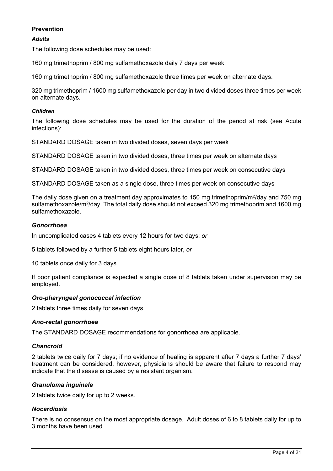## **Prevention**

### *Adults*

The following dose schedules may be used:

160 mg trimethoprim / 800 mg sulfamethoxazole daily 7 days per week.

160 mg trimethoprim / 800 mg sulfamethoxazole three times per week on alternate days.

320 mg trimethoprim / 1600 mg sulfamethoxazole per day in two divided doses three times per week on alternate days.

#### *Children*

The following dose schedules may be used for the duration of the period at risk (see Acute infections):

STANDARD DOSAGE taken in two divided doses, seven days per week

STANDARD DOSAGE taken in two divided doses, three times per week on alternate days

STANDARD DOSAGE taken in two divided doses, three times per week on consecutive days

STANDARD DOSAGE taken as a single dose, three times per week on consecutive days

The daily dose given on a treatment day approximates to 150 mg trimethoprim/m<sup>2</sup>/day and 750 mg sulfamethoxazole/m<sup>2</sup>/day. The total daily dose should not exceed 320 mg trimethoprim and 1600 mg sulfamethoxazole.

#### *Gonorrhoea*

In uncomplicated cases 4 tablets every 12 hours for two days; *or*

5 tablets followed by a further 5 tablets eight hours later, *or*

10 tablets once daily for 3 days.

If poor patient compliance is expected a single dose of 8 tablets taken under supervision may be employed.

### *Oro-pharyngeal gonococcal infection*

2 tablets three times daily for seven days.

### *Ano-rectal gonorrhoea*

The STANDARD DOSAGE recommendations for gonorrhoea are applicable.

### *Chancroid*

2 tablets twice daily for 7 days; if no evidence of healing is apparent after 7 days a further 7 days' treatment can be considered, however, physicians should be aware that failure to respond may indicate that the disease is caused by a resistant organism.

### *Granuloma inguinale*

2 tablets twice daily for up to 2 weeks.

### *Nocardiosis*

There is no consensus on the most appropriate dosage. Adult doses of 6 to 8 tablets daily for up to 3 months have been used.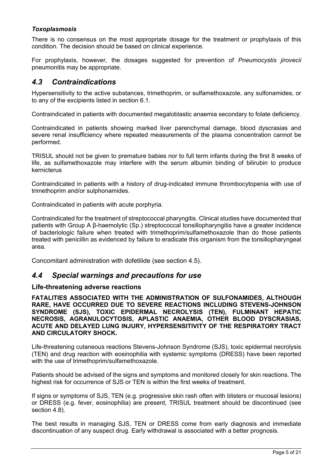# *Toxoplasmosis*

There is no consensus on the most appropriate dosage for the treatment or prophylaxis of this condition. The decision should be based on clinical experience.

For prophylaxis, however, the dosages suggested for prevention of *Pneumocystis jirovecii*  pneumonitis may be appropriate.

# *4.3 Contraindications*

Hypersensitivity to the active substances, trimethoprim, or sulfamethoxazole, any sulfonamides, or to any of the excipients listed in section 6.1.

Contraindicated in patients with documented megaloblastic anaemia secondary to folate deficiency.

Contraindicated in patients showing marked liver parenchymal damage, blood dyscrasias and severe renal insufficiency where repeated measurements of the plasma concentration cannot be performed.

TRISUL should not be given to premature babies nor to full term infants during the first 8 weeks of life, as sulfamethoxazole may interfere with the serum albumin binding of bilirubin to produce kernicterus

Contraindicated in patients with a history of drug-indicated immune thrombocytopenia with use of trimethoprim and/or sulphonamides.

Contraindicated in patients with acute porphyria.

Contraindicated for the treatment of streptococcal pharyngitis. Clinical studies have documented that patients with Group A β-haemolytic (Sp.) streptococcal tonsillopharyngitis have a greater incidence of bacteriologic failure when treated with trimethoprim/sulfamethoxazole than do those patients treated with penicillin as evidenced by failure to eradicate this organism from the tonsillopharyngeal area.

Concomitant administration with dofetilide (see section 4.5).

# *4.4 Special warnings and precautions for use*

### **Life-threatening adverse reactions**

**FATALITIES ASSOCIATED WITH THE ADMINISTRATION OF SULFONAMIDES, ALTHOUGH RARE, HAVE OCCURRED DUE TO SEVERE REACTIONS INCLUDING STEVENS-JOHNSON SYNDROME (SJS), TOXIC EPIDERMAL NECROLYSIS (TEN), FULMINANT HEPATIC NECROSIS, AGRANULOCYTOSIS, APLASTIC ANAEMIA, OTHER BLOOD DYSCRASIAS, ACUTE AND DELAYED LUNG INJURY, HYPERSENSITIVITY OF THE RESPIRATORY TRACT AND CIRCULATORY SHOCK.** 

Life-threatening cutaneous reactions Stevens-Johnson Syndrome (SJS), toxic epidermal necrolysis (TEN) and drug reaction with eosinophilia with systemic symptoms (DRESS) have been reported with the use of trimethoprim/sulfamethoxazole.

Patients should be advised of the signs and symptoms and monitored closely for skin reactions. The highest risk for occurrence of SJS or TEN is within the first weeks of treatment.

If signs or symptoms of SJS, TEN (e.g. progressive skin rash often with blisters or mucosal lesions) or DRESS (e.g. fever, eosinophilia) are present, TRISUL treatment should be discontinued (see section 4.8).

The best results in managing SJS, TEN or DRESS come from early diagnosis and immediate discontinuation of any suspect drug. Early withdrawal is associated with a better prognosis.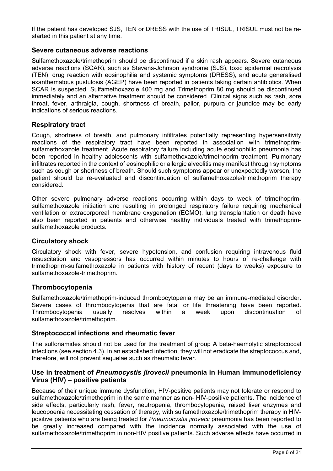If the patient has developed SJS, TEN or DRESS with the use of TRISUL, TRISUL must not be restarted in this patient at any time.

### **Severe cutaneous adverse reactions**

Sulfamethoxazole/trimethoprim should be discontinued if a skin rash appears. Severe cutaneous adverse reactions (SCAR), such as Stevens-Johnson syndrome (SJS), toxic epidermal necrolysis (TEN), drug reaction with eosinophilia and systemic symptoms (DRESS), and acute generalised exanthematous pustulosis (AGEP) have been reported in patients taking certain antibiotics. When SCAR is suspected, Sulfamethoxazole 400 mg and Trimethoprim 80 mg should be discontinued immediately and an alternative treatment should be considered. Clinical signs such as rash, sore throat, fever, arthralgia, cough, shortness of breath, pallor, purpura or jaundice may be early indications of serious reactions.

## **Respiratory tract**

Cough, shortness of breath, and pulmonary infiltrates potentially representing hypersensitivity reactions of the respiratory tract have been reported in association with trimethoprimsulfamethoxazole treatment. Acute respiratory failure including acute eosinophilic pneumonia has been reported in healthy adolescents with sulfamethoxazole/trimethoprim treatment. Pulmonary infiltrates reported in the context of eosinophilic or allergic alveolitis may manifest through symptoms such as cough or shortness of breath. Should such symptoms appear or unexpectedly worsen, the patient should be re-evaluated and discontinuation of sulfamethoxazole/trimethoprim therapy considered.

Other severe pulmonary adverse reactions occurring within days to week of trimethoprimsulfamethoxazole initiation and resulting in prolonged respiratory failure requiring mechanical ventilation or extracorporeal membrane oxygenation (ECMO), lung transplantation or death have also been reported in patients and otherwise healthy individuals treated with trimethoprimsulfamethoxazole products.

### **Circulatory shock**

Circulatory shock with fever, severe hypotension, and confusion requiring intravenous fluid resuscitation and vasopressors has occurred within minutes to hours of re-challenge with trimethoprim-sulfamethoxazole in patients with history of recent (days to weeks) exposure to sulfamethoxazole-trimethoprim.

### **Thrombocytopenia**

Sulfamethoxazole/trimethoprim-induced thrombocytopenia may be an immune-mediated disorder. Severe cases of thrombocytopenia that are fatal or life threatening have been reported. Thrombocytopenia usually resolves within a week upon discontinuation of sulfamethoxazole/trimethoprim.

### **Streptococcal infections and rheumatic fever**

The sulfonamides should not be used for the treatment of group A beta-haemolytic streptococcal infections (see section 4.3). In an established infection, they will not eradicate the streptococcus and, therefore, will not prevent sequelae such as rheumatic fever.

# **Use in treatment of** *Pneumocystis jirovecii* **pneumonia in Human Immunodeficiency Virus (HIV) – positive patients**

Because of their unique immune dysfunction, HIV-positive patients may not tolerate or respond to sulfamethoxazole/trimethoprim in the same manner as non- HIV-positive patients. The incidence of side effects, particularly rash, fever, neutropenia, thrombocytopenia, raised liver enzymes and leucopoenia necessitating cessation of therapy, with sulfamethoxazole/trimethoprim therapy in HIVpositive patients who are being treated for *Pneumocystis jirovecii* pneumonia has been reported to be greatly increased compared with the incidence normally associated with the use of sulfamethoxazole/trimethoprim in non-HIV positive patients. Such adverse effects have occurred in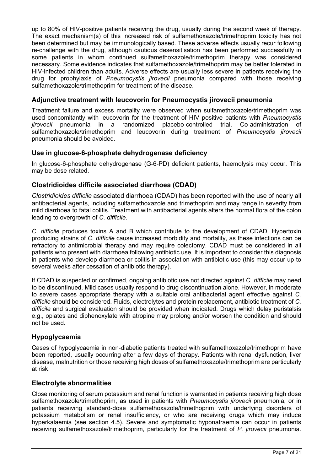up to 80% of HIV-positive patients receiving the drug, usually during the second week of therapy. The exact mechanism(s) of this increased risk of sulfamethoxazole/trimethoprim toxicity has not been determined but may be immunologically based. These adverse effects usually recur following re-challenge with the drug, although cautious desensitisation has been performed successfully in some patients in whom continued sulfamethoxazole/trimethoprim therapy was considered necessary. Some evidence indicates that sulfamethoxazole/trimethoprim may be better tolerated in HIV-infected children than adults. Adverse effects are usually less severe in patients receiving the drug for prophylaxis of *Pneumocystis jirovecii* pneumonia compared with those receiving sulfamethoxazole/trimethoprim for treatment of the disease.

# **Adjunctive treatment with leucovorin for Pneumocystis jirovecii pneumonia**

Treatment failure and excess mortality were observed when sulfamethoxazole/trimethoprim was used concomitantly with leucovorin for the treatment of HIV positive patients with *Pneumocystis jirovecii* pneumonia in a randomized placebo-controlled trial. Co-administration of sulfamethoxazole/trimethoprim and leucovorin during treatment of *Pneumocystis jirovecii* pneumonia should be avoided.

# **Use in glucose-6-phosphate dehydrogenase deficiency**

In glucose-6-phosphate dehydrogenase (G-6-PD) deficient patients, haemolysis may occur. This may be dose related.

# **Clostridioides difficile associated diarrhoea (CDAD)**

*Clostridioides difficile* associated diarrhoea (CDAD) has been reported with the use of nearly all antibacterial agents, including sulfamethoxazole and trimethoprim and may range in severity from mild diarrhoea to fatal colitis. Treatment with antibacterial agents alters the normal flora of the colon leading to overgrowth of *C. difficile*.

*C. difficile* produces toxins A and B which contribute to the development of CDAD. Hypertoxin producing strains of *C. difficile* cause increased morbidity and mortality, as these infections can be refractory to antimicrobial therapy and may require colectomy. CDAD must be considered in all patients who present with diarrhoea following antibiotic use. It is important to consider this diagnosis in patients who develop diarrhoea or colitis in association with antibiotic use (this may occur up to several weeks after cessation of antibiotic therapy).

If CDAD is suspected or confirmed, ongoing antibiotic use not directed against *C. difficile* may need to be discontinued. Mild cases usually respond to drug discontinuation alone. However, in moderate to severe cases appropriate therapy with a suitable oral antibacterial agent effective against *C. difficile* should be considered. Fluids, electrolytes and protein replacement, antibiotic treatment of *C. difficile* and surgical evaluation should be provided when indicated. Drugs which delay peristalsis e.g., opiates and diphenoxylate with atropine may prolong and/or worsen the condition and should not be used.

# **Hypoglycaemia**

Cases of hypoglycaemia in non-diabetic patients treated with sulfamethoxazole/trimethoprim have been reported, usually occurring after a few days of therapy. Patients with renal dysfunction, liver disease, malnutrition or those receiving high doses of sulfamethoxazole/trimethoprim are particularly at risk.

# **Electrolyte abnormalities**

Close monitoring of serum potassium and renal function is warranted in patients receiving high dose sulfamethoxazole/trimethoprim, as used in patients with *Pneumocystis jirovecii* pneumonia, or in patients receiving standard-dose sulfamethoxazole/trimethoprim with underlying disorders of potassium metabolism or renal insufficiency, or who are receiving drugs which may induce hyperkalaemia (see section 4.5). Severe and symptomatic hyponatraemia can occur in patients receiving sulfamethoxazole/trimethoprim, particularly for the treatment of *P. jirovecii* pneumonia.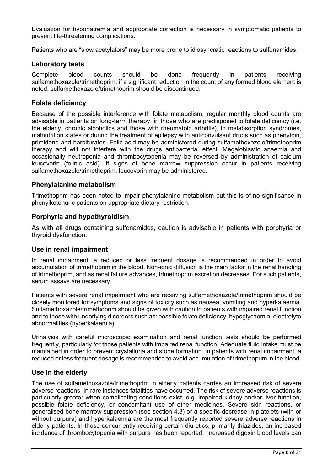Evaluation for hyponatremia and appropriate correction is necessary in symptomatic patients to prevent life-threatening complications.

Patients who are "slow acetylators" may be more prone to idiosyncratic reactions to sulfonamides.

#### **Laboratory tests**

Complete blood counts should be done frequently in patients receiving sulfamethoxazole/trimethoprim; if a significant reduction in the count of any formed blood element is noted, sulfamethoxazole/trimethoprim should be discontinued.

### **Folate deficiency**

Because of the possible interference with folate metabolism, regular monthly blood counts are advisable in patients on long-term therapy, in those who are predisposed to folate deficiency (i.e. the elderly, chronic alcoholics and those with rheumatoid arthritis), in malabsorption syndromes, malnutrition states or during the treatment of epilepsy with anticonvulsant drugs such as phenytoin, primidone and barbiturates. Folic acid may be administered during sulfamethoxazole/trimethoprim therapy and will not interfere with the drugs antibacterial effect. Megaloblastic anaemia and occasionally neutropenia and thrombocytopenia may be reversed by administration of calcium leucovorin (folinic acid). If signs of bone marrow suppression occur in patients receiving sulfamethoxazole/trimethoprim, leucovorin may be administered.

#### **Phenylalanine metabolism**

Trimethoprim has been noted to impair phenylalanine metabolism but this is of no significance in phenylketonuric patients on appropriate dietary restriction.

### **Porphyria and hypothyroidism**

As with all drugs containing sulfonamides, caution is advisable in patients with porphyria or thyroid dysfunction.

### **Use in renal impairment**

In renal impairment, a reduced or less frequent dosage is recommended in order to avoid accumulation of trimethoprim in the blood. Non-ionic diffusion is the main factor in the renal handling of trimethoprim, and as renal failure advances, trimethoprim excretion decreases. For such patients, serum assays are necessary

Patients with severe renal impairment who are receiving sulfamethoxazole/trimethoprim should be closely monitored for symptoms and signs of toxicity such as nausea, vomiting and hyperkalaemia. Sulfamethoxazole/trimethoprim should be given with caution to patients with impaired renal function and to those with underlying disorders such as: possible folate deficiency; hypoglycaemia; electrolyte abnormalities (hyperkalaemia).

Urinalysis with careful microscopic examination and renal function tests should be performed frequently, particularly for those patients with impaired renal function. Adequate fluid intake must be maintained in order to prevent crystalluria and stone formation. In patients with renal impairment, a reduced or less frequent dosage is recommended to avoid accumulation of trimethoprim in the blood.

### **Use in the elderly**

The use of sulfamethoxazole/trimethoprim in elderly patients carries an increased risk of severe adverse reactions. In rare instances fatalities have occurred. The risk of severe adverse reactions is particularly greater when complicating conditions exist, e.g. impaired kidney and/or liver function, possible folate deficiency, or concomitant use of other medicines. Severe skin reactions, or generalised bone marrow suppression (see section 4.8) or a specific decrease in platelets (with or without purpura) and hyperkalaemia are the most frequently reported severe adverse reactions in elderly patients. In those concurrently receiving certain diuretics, primarily thiazides, an increased incidence of thrombocytopenia with purpura has been reported. Increased digoxin blood levels can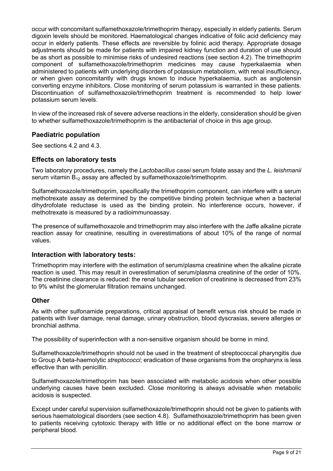occur with concomitant sulfamethoxazole/trimethoprim therapy, especially in elderly patients. Serum digoxin levels should be monitored. Haematological changes indicative of folic acid deficiency may occur in elderly patients. These effects are reversible by folinic acid therapy. Appropriate dosage adjustments should be made for patients with impaired kidney function and duration of use should be as short as possible to minimise risks of undesired reactions (see section 4.2). The trimethoprim component of sulfamethoxazole/trimethoprim medicines may cause hyperkalaemia when administered to patients with underlying disorders of potassium metabolism, with renal insufficiency, or when given concomitantly with drugs known to induce hyperkalaemia, such as angiotensin converting enzyme inhibitors. Close monitoring of serum potassium is warranted in these patients. Discontinuation of sulfamethoxazole/trimethoprim treatment is recommended to help lower potassium serum levels.

In view of the increased risk of severe adverse reactions in the elderly, consideration should be given to whether sulfamethoxazole/trimethoprim is the antibacterial of choice in this age group.

# **Paediatric population**

See sections 4.2 and 4.3.

## **Effects on laboratory tests**

Two laboratory procedures, namely the *Lactobacillus casei* serum folate assay and the *L. leishmanii* serum vitamin  $B_{12}$  assay are affected by sulfamethoxazole/trimethoprim.

Sulfamethoxazole/trimethoprim, specifically the trimethoprim component, can interfere with a serum methotrexate assay as determined by the competitive binding protein technique when a bacterial dihydrofolate reductase is used as the binding protein. No interference occurs, however, if methotrexate is measured by a radioimmunoassay.

The presence of sulfamethoxazole and trimethoprim may also interfere with the Jaffe alkaline picrate reaction assay for creatinine, resulting in overestimations of about 10% of the range of normal values.

### **Interaction with laboratory tests:**

Trimethoprim may interfere with the estimation of serum/plasma creatinine when the alkaline picrate reaction is used. This may result in overestimation of serum/plasma creatinine of the order of 10%. The creatinine clearance is reduced: the renal tubular secretion of creatinine is decreased from 23% to 9% whilst the glomerular filtration remains unchanged.

### **Other**

As with other sulfonamide preparations, critical appraisal of benefit versus risk should be made in patients with liver damage, renal damage, urinary obstruction, blood dyscrasias, severe allergies or bronchial asthma.

The possibility of superinfection with a non-sensitive organism should be borne in mind.

Sulfamethoxazole/trimethoprin should not be used in the treatment of streptococcal pharyngitis due to Group A beta-haemolytic *streptococci*; eradication of these organisms from the oropharynx is less effective than with penicillin.

Sulfamethoxazole/trimethoprim has been associated with metabolic acidosis when other possible underlying causes have been excluded. Close monitoring is always advisable when metabolic acidosis is suspected.

Except under careful supervision sulfamethoxazole/trimethoprin should not be given to patients with serious haematological disorders (see section 4.8). Sulfamethoxazole/trimethoprim has been given to patients receiving cytotoxic therapy with little or no additional effect on the bone marrow or peripheral blood.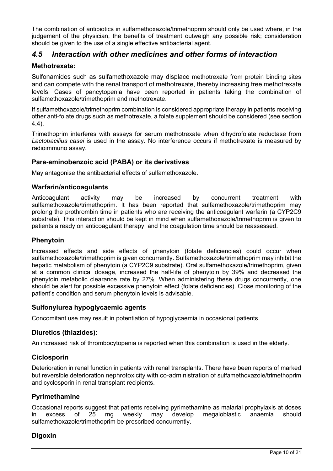The combination of antibiotics in sulfamethoxazole/trimethoprim should only be used where, in the judgement of the physician, the benefits of treatment outweigh any possible risk; consideration should be given to the use of a single effective antibacterial agent.

# *4.5 Interaction with other medicines and other forms of interaction*

# **Methotrexate:**

Sulfonamides such as sulfamethoxazole may displace methotrexate from protein binding sites and can compete with the renal transport of methotrexate, thereby increasing free methotrexate levels. Cases of pancytopenia have been reported in patients taking the combination of sulfamethoxazole/trimethoprim and methotrexate.

If sulfamethoxazole/trimethoprim combination is considered appropriate therapy in patients receiving other anti-folate drugs such as methotrexate, a folate supplement should be considered (see section 4.4).

Trimethoprim interferes with assays for serum methotrexate when dihydrofolate reductase from *Lactobacilius casei* is used in the assay. No interference occurs if methotrexate is measured by radioimmuno assay.

## **Para-aminobenzoic acid (PABA) or its derivatives**

May antagonise the antibacterial effects of sulfamethoxazole.

### **Warfarin/anticoagulants**

Anticoagulant activity may be increased by concurrent treatment with sulfamethoxazole/trimethoprim. It has been reported that sulfamethoxazole/trimethoprim may prolong the prothrombin time in patients who are receiving the anticoagulant warfarin (a CYP2C9 substrate). This interaction should be kept in mind when sulfamethoxazole/trimethoprim is given to patients already on anticoagulant therapy, and the coagulation time should be reassessed.

### **Phenytoin**

Increased effects and side effects of phenytoin (folate deficiencies) could occur when sulfamethoxazole/trimethoprim is given concurrently. Sulfamethoxazole/trimethoprim may inhibit the hepatic metabolism of phenytoin (a CYP2C9 substrate). Oral sulfamethoxazole/trimethoprim, given at a common clinical dosage, increased the half-life of phenytoin by 39% and decreased the phenytoin metabolic clearance rate by 27%. When administering these drugs concurrently, one should be alert for possible excessive phenytoin effect (folate deficiencies). Close monitoring of the patient's condition and serum phenytoin levels is advisable.

### **Sulfonylurea hypoglycaemic agents**

Concomitant use may result in potentiation of hypoglycaemia in occasional patients.

### **Diuretics (thiazides):**

An increased risk of thrombocytopenia is reported when this combination is used in the elderly.

# **Ciclosporin**

Deterioration in renal function in patients with renal transplants. There have been reports of marked but reversible deterioration nephrotoxicity with co-administration of sulfamethoxazole/trimethoprim and cyclosporin in renal transplant recipients.

# **Pyrimethamine**

Occasional reports suggest that patients receiving pyrimethamine as malarial prophylaxis at doses in excess of 25 mg weekly may develop megaloblastic anaemia should sulfamethoxazole/trimethoprim be prescribed concurrently.

# **Digoxin**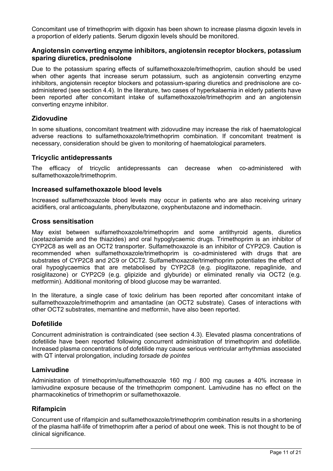Concomitant use of trimethoprim with digoxin has been shown to increase plasma digoxin levels in a proportion of elderly patients. Serum digoxin levels should be monitored.

## **Angiotensin converting enzyme inhibitors, angiotensin receptor blockers, potassium sparing diuretics, prednisolone**

Due to the potassium sparing effects of sulfamethoxazole/trimethoprim, caution should be used when other agents that increase serum potassium, such as angiotensin converting enzyme inhibitors, angiotensin receptor blockers and potassium-sparing diuretics and prednisolone are coadministered (see section 4.4). In the literature, two cases of hyperkalaemia in elderly patients have been reported after concomitant intake of sulfamethoxazole/trimethoprim and an angiotensin converting enzyme inhibitor.

## **Zidovudine**

In some situations, concomitant treatment with zidovudine may increase the risk of haematological adverse reactions to sulfamethoxazole/trimethoprim combination. If concomitant treatment is necessary, consideration should be given to monitoring of haematological parameters.

## **Tricyclic antidepressants**

The efficacy of tricyclic antidepressants can decrease when co-administered with sulfamethoxazole/trimethoprim.

## **Increased sulfamethoxazole blood levels**

Increased sulfamethoxazole blood levels may occur in patients who are also receiving urinary acidifiers, oral anticoagulants, phenylbutazone, oxyphenbutazone and indomethacin.

### **Cross sensitisation**

May exist between sulfamethoxazole/trimethoprim and some antithyroid agents, diuretics (acetazolamide and the thiazides) and oral hypoglycaemic drugs. Trimethoprim is an inhibitor of CYP2C8 as well as an OCT2 transporter. Sulfamethoxazole is an inhibitor of CYP2C9. Caution is recommended when sulfamethoxazole/trimethoprim is co-administered with drugs that are substrates of CYP2C8 and 2C9 or OCT2. Sulfamethoxazole/trimethoprim potentiates the effect of oral hypoglycaemics that are metabolised by CYP2C8 (e.g. pioglitazone, repaglinide, and rosiglitazone) or CYP2C9 (e.g. glipizide and glyburide) or eliminated renally via OCT2 (e.g. metformin). Additional monitoring of blood glucose may be warranted.

In the literature, a single case of toxic delirium has been reported after concomitant intake of sulfamethoxazole/trimethoprim and amantadine (an OCT2 substrate). Cases of interactions with other OCT2 substrates, memantine and metformin, have also been reported.

# **Dofetilide**

Concurrent administration is contraindicated (see section 4.3). Elevated plasma concentrations of dofetilide have been reported following concurrent administration of trimethoprim and dofetilide. Increased plasma concentrations of dofetilide may cause serious ventricular arrhythmias associated with QT interval prolongation, including *torsade de pointes*

### **Lamivudine**

Administration of trimethoprim/sulfamethoxazole 160 mg / 800 mg causes a 40% increase in lamivudine exposure because of the trimethoprim component. Lamivudine has no effect on the pharmacokinetics of trimethoprim or sulfamethoxazole.

# **Rifampicin**

Concurrent use of rifampicin and sulfamethoxazole/trimethoprim combination results in a shortening of the plasma half-life of trimethoprim after a period of about one week. This is not thought to be of clinical significance.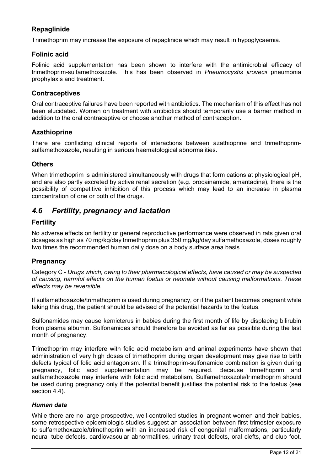# **Repaglinide**

Trimethoprim may increase the exposure of repaglinide which may result in hypoglycaemia.

# **Folinic acid**

Folinic acid supplementation has been shown to interfere with the antimicrobial efficacy of trimethoprim-sulfamethoxazole. This has been observed in *Pneumocystis jirovecii* pneumonia prophylaxis and treatment.

## **Contraceptives**

Oral contraceptive failures have been reported with antibiotics. The mechanism of this effect has not been elucidated. Women on treatment with antibiotics should temporarily use a barrier method in addition to the oral contraceptive or choose another method of contraception.

# **Azathioprine**

There are conflicting clinical reports of interactions between azathioprine and trimethoprimsulfamethoxazole, resulting in serious haematological abnormalities.

## **Others**

When trimethoprim is administered simultaneously with drugs that form cations at physiological pH, and are also partly excreted by active renal secretion (e.g. procainamide, amantadine), there is the possibility of competitive inhibition of this process which may lead to an increase in plasma concentration of one or both of the drugs.

# *4.6 Fertility, pregnancy and lactation*

## **Fertility**

No adverse effects on fertility or general reproductive performance were observed in rats given oral dosages as high as 70 mg/kg/day trimethoprim plus 350 mg/kg/day sulfamethoxazole, doses roughly two times the recommended human daily dose on a body surface area basis.

# **Pregnancy**

Category C - *Drugs which, owing to their pharmacological effects, have caused or may be suspected of causing, harmful effects on the human foetus or neonate without causing malformations. These effects may be reversible.*

If sulfamethoxazole/trimethoprim is used during pregnancy, or if the patient becomes pregnant while taking this drug, the patient should be advised of the potential hazards to the foetus.

Sulfonamides may cause kernicterus in babies during the first month of life by displacing bilirubin from plasma albumin. Sulfonamides should therefore be avoided as far as possible during the last month of pregnancy.

Trimethoprim may interfere with folic acid metabolism and animal experiments have shown that administration of very high doses of trimethoprim during organ development may give rise to birth defects typical of folic acid antagonism. If a trimethoprim-sulfonamide combination is given during pregnancy, folic acid supplementation may be required. Because trimethoprim and sulfamethoxazole may interfere with folic acid metabolism, Sulfamethoxazole/trimethoprim should be used during pregnancy only if the potential benefit justifies the potential risk to the foetus (see section 4.4).

### *Human data*

While there are no large prospective, well-controlled studies in pregnant women and their babies, some retrospective epidemiologic studies suggest an association between first trimester exposure to sulfamethoxazole/trimethoprim with an increased risk of congenital malformations, particularly neural tube defects, cardiovascular abnormalities, urinary tract defects, oral clefts, and club foot.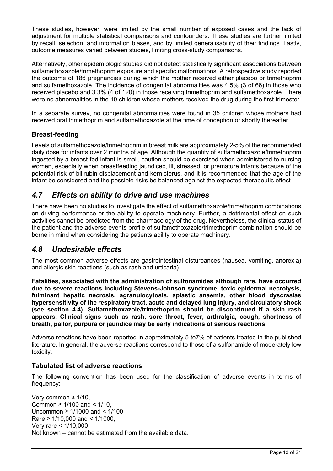These studies, however, were limited by the small number of exposed cases and the lack of adjustment for multiple statistical comparisons and confounders. These studies are further limited by recall, selection, and information biases, and by limited generalisability of their findings. Lastly, outcome measures varied between studies, limiting cross-study comparisons.

Alternatively, other epidemiologic studies did not detect statistically significant associations between sulfamethoxazole/trimethoprim exposure and specific malformations. A retrospective study reported the outcome of 186 pregnancies during which the mother received either placebo or trimethoprim and sulfamethoxazole. The incidence of congenital abnormalities was 4.5% (3 of 66) in those who received placebo and 3.3% (4 of 120) in those receiving trimethoprim and sulfamethoxazole. There were no abnormalities in the 10 children whose mothers received the drug during the first trimester.

In a separate survey, no congenital abnormalities were found in 35 children whose mothers had received oral trimethoprim and sulfamethoxazole at the time of conception or shortly thereafter.

# **Breast-feeding**

Levels of sulfamethoxazole/trimethoprim in breast milk are approximately 2-5% of the recommended daily dose for infants over 2 months of age. Although the quantity of sulfamethoxazole/trimethoprim ingested by a breast-fed infant is small, caution should be exercised when administered to nursing women, especially when breastfeeding jaundiced, ill, stressed, or premature infants because of the potential risk of bilirubin displacement and kernicterus, and it is recommended that the age of the infant be considered and the possible risks be balanced against the expected therapeutic effect.

# *4.7 Effects on ability to drive and use machines*

There have been no studies to investigate the effect of sulfamethoxazole/trimethoprim combinations on driving performance or the ability to operate machinery. Further, a detrimental effect on such activities cannot be predicted from the pharmacology of the drug. Nevertheless, the clinical status of the patient and the adverse events profile of sulfamethoxazole/trimethoprim combination should be borne in mind when considering the patients ability to operate machinery.

# *4.8 Undesirable effects*

The most common adverse effects are gastrointestinal disturbances (nausea, vomiting, anorexia) and allergic skin reactions (such as rash and urticaria).

**Fatalities, associated with the administration of sulfonamides although rare, have occurred due to severe reactions including Stevens-Johnson syndrome, toxic epidermal necrolysis, fulminant hepatic necrosis, agranulocytosis, aplastic anaemia, other blood dyscrasias hypersensitivity of the respiratory tract, acute and delayed lung injury, and circulatory shock (see section 4.4). Sulfamethoxazole/trimethoprim should be discontinued if a skin rash appears. Clinical signs such as rash, sore throat, fever, arthralgia, cough, shortness of breath, pallor, purpura or jaundice may be early indications of serious reactions.**

Adverse reactions have been reported in approximately 5 to7% of patients treated in the published literature. In general, the adverse reactions correspond to those of a sulfonamide of moderately low toxicity.

# **Tabulated list of adverse reactions**

The following convention has been used for the classification of adverse events in terms of frequency:

Very common ≥ 1/10, Common  $\geq 1/100$  and  $\leq 1/10$ , Uncommon ≥ 1/1000 and < 1/100, Rare ≥ 1/10,000 and < 1/1000, Very rare < 1/10,000, Not known – cannot be estimated from the available data.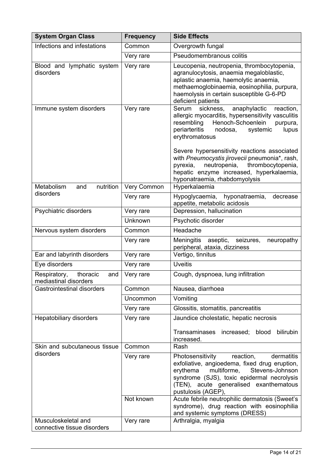| <b>System Organ Class</b>                                | <b>Frequency</b>   | <b>Side Effects</b>                                                                                                                                                                                                                                                                                                                                                                                                                                   |
|----------------------------------------------------------|--------------------|-------------------------------------------------------------------------------------------------------------------------------------------------------------------------------------------------------------------------------------------------------------------------------------------------------------------------------------------------------------------------------------------------------------------------------------------------------|
| Infections and infestations                              | Common             | Overgrowth fungal                                                                                                                                                                                                                                                                                                                                                                                                                                     |
|                                                          | Very rare          | Pseudomembranous colitis                                                                                                                                                                                                                                                                                                                                                                                                                              |
| Blood and lymphatic system<br>disorders                  | Very rare          | Leucopenia, neutropenia, thrombocytopenia,<br>agranulocytosis, anaemia megaloblastic,<br>aplastic anaemia, haemolytic anaemia,<br>methaemoglobinaemia, eosinophilia, purpura,<br>haemolysis in certain susceptible G-6-PD<br>deficient patients                                                                                                                                                                                                       |
| Immune system disorders                                  | Very rare          | anaphylactic<br>sickness,<br>reaction,<br>Serum<br>allergic myocarditis, hypersensitivity vasculitis<br>Henoch-Schoenlein<br>resembling<br>purpura,<br>periarteritis<br>nodosa,<br>lupus<br>systemic<br>erythromatosus<br>Severe hypersensitivity reactions associated<br>with Pneumocystis jirovecii pneumonia*, rash,<br>neutropenia,<br>thrombocytopenia,<br>pyrexia,<br>hepatic enzyme increased, hyperkalaemia,<br>hyponatraemia, rhabdomyolysis |
| Metabolism<br>nutrition<br>and                           | <b>Very Common</b> | Hyperkalaemia                                                                                                                                                                                                                                                                                                                                                                                                                                         |
| disorders                                                | Very rare          | Hypoglycaemia, hyponatraemia,<br>decrease<br>appetite, metabolic acidosis                                                                                                                                                                                                                                                                                                                                                                             |
| Psychiatric disorders                                    | Very rare          | Depression, hallucination                                                                                                                                                                                                                                                                                                                                                                                                                             |
|                                                          | Unknown            | Psychotic disorder                                                                                                                                                                                                                                                                                                                                                                                                                                    |
| Nervous system disorders                                 | Common             | Headache                                                                                                                                                                                                                                                                                                                                                                                                                                              |
|                                                          | Very rare          | Meningitis<br>aseptic,<br>seizures,<br>neuropathy<br>peripheral, ataxia, dizziness                                                                                                                                                                                                                                                                                                                                                                    |
| Ear and labyrinth disorders                              | Very rare          | Vertigo, tinnitus                                                                                                                                                                                                                                                                                                                                                                                                                                     |
| Eye disorders                                            | Very rare          | <b>Uveitis</b>                                                                                                                                                                                                                                                                                                                                                                                                                                        |
| Respiratory,<br>thoracic<br>and<br>mediastinal disorders | Very rare          | Cough, dyspnoea, lung infiltration                                                                                                                                                                                                                                                                                                                                                                                                                    |
| Gastrointestinal disorders                               | Common             | Nausea, diarrhoea                                                                                                                                                                                                                                                                                                                                                                                                                                     |
|                                                          | Uncommon           | Vomiting                                                                                                                                                                                                                                                                                                                                                                                                                                              |
|                                                          | Very rare          | Glossitis, stomatitis, pancreatitis                                                                                                                                                                                                                                                                                                                                                                                                                   |
| Hepatobiliary disorders                                  | Very rare          | Jaundice cholestatic, hepatic necrosis<br>Transaminases increased; blood<br>bilirubin<br>increased.                                                                                                                                                                                                                                                                                                                                                   |
| Skin and subcutaneous tissue                             | Common             | Rash                                                                                                                                                                                                                                                                                                                                                                                                                                                  |
| disorders                                                | Very rare          | Photosensitivity<br>reaction,<br>dermatitis<br>exfoliative, angioedema, fixed drug eruption,<br>multiforme,<br>Stevens-Johnson<br>erythema<br>syndrome (SJS), toxic epidermal necrolysis<br>(TEN), acute generalised exanthematous<br>pustulosis (AGEP),                                                                                                                                                                                              |
|                                                          | Not known          | Acute febrile neutrophilic dermatosis (Sweet's<br>syndrome), drug reaction with eosinophilia<br>and systemic symptoms (DRESS)                                                                                                                                                                                                                                                                                                                         |
| Musculoskeletal and<br>connective tissue disorders       | Very rare          | Arthralgia, myalgia                                                                                                                                                                                                                                                                                                                                                                                                                                   |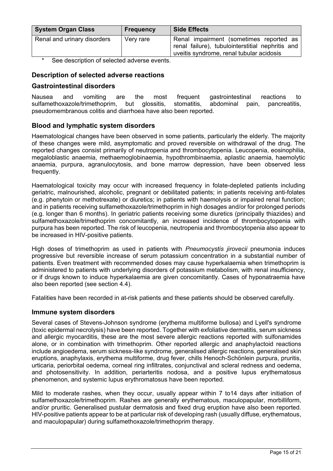| <b>System Organ Class</b>   | <b>Frequency</b> | <b>Side Effects</b>                                                                                                                     |
|-----------------------------|------------------|-----------------------------------------------------------------------------------------------------------------------------------------|
| Renal and urinary disorders | Very rare        | Renal impairment (sometimes reported as<br>renal failure), tubulointerstitial nephritis and<br>uveitis syndrome, renal tubular acidosis |

See description of selected adverse events.

# **Description of selected adverse reactions**

# **Gastrointestinal disorders**

Nausea and vomiting are the most frequent gastrointestinal reactions to sulfamethoxazole/trimethoprim, but glossitis, stomatitis, abdominal pain, pancreatitis, pseudomembranous colitis and diarrhoea have also been reported.

# **Blood and lymphatic system disorders**

Haematological changes have been observed in some patients, particularly the elderly. The majority of these changes were mild, asymptomatic and proved reversible on withdrawal of the drug. The reported changes consist primarily of neutropenia and thrombocytopenia. Leucopenia, eosinophilia, megaloblastic anaemia, methaemoglobinaemia, hypothrombinaemia, aplastic anaemia, haemolytic anaemia, purpura, agranulocytosis, and bone marrow depression, have been observed less frequently.

Haematological toxicity may occur with increased frequency in folate-depleted patients including geriatric, malnourished, alcoholic, pregnant or debilitated patients; in patients receiving anti-folates (e.g. phenytoin or methotrexate) or diuretics; in patients with haemolysis or impaired renal function; and in patients receiving sulfamethoxazole/trimethoprim in high dosages and/or for prolonged periods (e.g. longer than 6 months). In geriatric patients receiving some diuretics (principally thiazides) and sulfamethoxazole/trimethoprim concomitantly, an increased incidence of thrombocytopenia with purpura has been reported. The risk of leucopenia, neutropenia and thrombocytopenia also appear to be increased in HIV-positive patients.

High doses of trimethoprim as used in patients with *Pneumocystis jirovecii* pneumonia induces progressive but reversible increase of serum potassium concentration in a substantial number of patients. Even treatment with recommended doses may cause hyperkalaemia when trimethoprim is administered to patients with underlying disorders of potassium metabolism, with renal insufficiency, or if drugs known to induce hyperkalaemia are given concomitantly. Cases of hyponatraemia have also been reported (see section 4.4).

Fatalities have been recorded in at-risk patients and these patients should be observed carefully.

# **Immune system disorders**

Several cases of Stevens-Johnson syndrome (erythema multiforme bullosa) and Lyell's syndrome (toxic epidermal necrolysis) have been reported. Together with exfoliative dermatitis, serum sickness and allergic myocarditis, these are the most severe allergic reactions reported with sulfonamides alone, or in combination with trimethoprim. Other reported allergic and anaphylactoid reactions include angioedema, serum sickness-like syndrome, generalised allergic reactions, generalised skin eruptions, anaphylaxis, erythema multiforme, drug fever, chills Henoch-Schönlein purpura, pruritis, urticaria, periorbital oedema, corneal ring infiltrates, conjunctival and scleral redness and oedema, and photosensitivity. In addition, periarteritis nodosa, and a positive lupus erythematosus phenomenon, and systemic lupus erythromatosus have been reported.

Mild to moderate rashes, when they occur, usually appear within 7 to14 days after initiation of sulfamethoxazole/trimethoprim. Rashes are generally erythematous, maculopapular, morbilliform, and/or pruritic. Generalised pustular dermatosis and fixed drug eruption have also been reported. HIV-positive patients appear to be at particular risk of developing rash (usually diffuse, erythematous, and maculopapular) during sulfamethoxazole/trimethoprim therapy.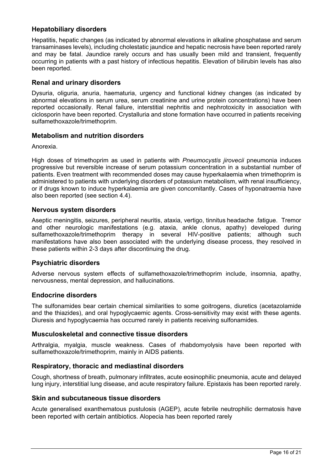# **Hepatobiliary disorders**

Hepatitis, hepatic changes (as indicated by abnormal elevations in alkaline phosphatase and serum transaminases levels), including cholestatic jaundice and hepatic necrosis have been reported rarely and may be fatal. Jaundice rarely occurs and has usually been mild and transient, frequently occurring in patients with a past history of infectious hepatitis. Elevation of bilirubin levels has also been reported.

# **Renal and urinary disorders**

Dysuria, oliguria, anuria, haematuria, urgency and functional kidney changes (as indicated by abnormal elevations in serum urea, serum creatinine and urine protein concentrations) have been reported occasionally. Renal failure, interstitial nephritis and nephrotoxicity in association with ciclosporin have been reported. Crystalluria and stone formation have occurred in patients receiving sulfamethoxazole/trimethoprim.

## **Metabolism and nutrition disorders**

Anorexia.

High doses of trimethoprim as used in patients with *Pneumocystis jirovecii* pneumonia induces progressive but reversible increase of serum potassium concentration in a substantial number of patients. Even treatment with recommended doses may cause hyperkalaemia when trimethoprim is administered to patients with underlying disorders of potassium metabolism, with renal insufficiency, or if drugs known to induce hyperkalaemia are given concomitantly. Cases of hyponatraemia have also been reported (see section 4.4).

## **Nervous system disorders**

Aseptic meningitis, seizures, peripheral neuritis, ataxia, vertigo, tinnitus headache .fatigue. Tremor and other neurologic manifestations (e.g. ataxia, ankle clonus, apathy) developed during sulfamethoxazole/trimethoprim therapy in several HIV-positive patients; although such manifestations have also been associated with the underlying disease process, they resolved in these patients within 2-3 days after discontinuing the drug.

### **Psychiatric disorders**

Adverse nervous system effects of sulfamethoxazole/trimethoprim include, insomnia, apathy, nervousness, mental depression, and hallucinations.

### **Endocrine disorders**

The sulfonamides bear certain chemical similarities to some goitrogens, diuretics (acetazolamide and the thiazides), and oral hypoglycaemic agents. Cross-sensitivity may exist with these agents. Diuresis and hypoglycaemia has occurred rarely in patients receiving sulfonamides.

### **Musculoskeletal and connective tissue disorders**

Arthralgia, myalgia, muscle weakness. Cases of rhabdomyolysis have been reported with sulfamethoxazole/trimethoprim, mainly in AIDS patients.

### **Respiratory, thoracic and mediastinal disorders**

Cough, shortness of breath, pulmonary infiltrates, acute eosinophilic pneumonia, acute and delayed lung injury, interstitial lung disease, and acute respiratory failure. Epistaxis has been reported rarely.

### **Skin and subcutaneous tissue disorders**

Acute generalised exanthematous pustulosis (AGEP), acute febrile neutrophilic dermatosis have been reported with certain antibiotics. Alopecia has been reported rarely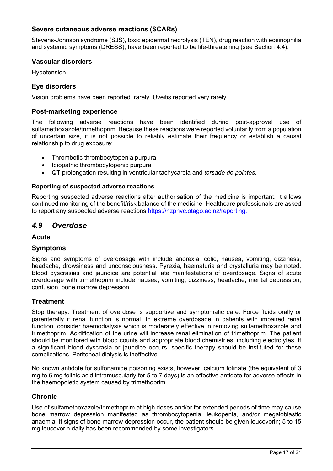# **Severe cutaneous adverse reactions (SCARs)**

Stevens-Johnson syndrome (SJS), toxic epidermal necrolysis (TEN), drug reaction with eosinophilia and systemic symptoms (DRESS), have been reported to be life-threatening (see Section 4.4).

### **Vascular disorders**

Hypotension

## **Eye disorders**

Vision problems have been reported rarely. Uveitis reported very rarely.

### **Post-marketing experience**

The following adverse reactions have been identified during post-approval use of sulfamethoxazole/trimethoprim. Because these reactions were reported voluntarily from a population of uncertain size, it is not possible to reliably estimate their frequency or establish a causal relationship to drug exposure:

- Thrombotic thrombocytopenia purpura
- Idiopathic thrombocytopenic purpura
- QT prolongation resulting in ventricular tachycardia and *torsade de pointes*.

### **Reporting of suspected adverse reactions**

Reporting suspected adverse reactions after authorisation of the medicine is important. It allows continued monitoring of the benefit/risk balance of the medicine. Healthcare professionals are asked to report any suspected adverse reactions https://nzphvc.otago.ac.nz/reporting.

# *4.9 Overdose*

### **Acute**

### **Symptoms**

Signs and symptoms of overdosage with include anorexia, colic, nausea, vomiting, dizziness, headache, drowsiness and unconsciousness. Pyrexia, haematuria and crystalluria may be noted. Blood dyscrasias and jaundice are potential late manifestations of overdosage. Signs of acute overdosage with trimethoprim include nausea, vomiting, dizziness, headache, mental depression, confusion, bone marrow depression.

### **Treatment**

Stop therapy. Treatment of overdose is supportive and symptomatic care. Force fluids orally or parenterally if renal function is normal. In extreme overdosage in patients with impaired renal function, consider haemodialysis which is moderately effective in removing sulfamethoxazole and trimethoprim. Acidification of the urine will increase renal elimination of trimethoprim. The patient should be monitored with blood counts and appropriate blood chemistries, including electrolytes. If a significant blood dyscrasia or jaundice occurs, specific therapy should be instituted for these complications. Peritoneal dialysis is ineffective.

No known antidote for sulfonamide poisoning exists, however, calcium folinate (the equivalent of 3 mg to 6 mg folinic acid intramuscularly for 5 to 7 days) is an effective antidote for adverse effects in the haemopoietic system caused by trimethoprim.

### **Chronic**

Use of sulfamethoxazole/trimethoprim at high doses and/or for extended periods of time may cause bone marrow depression manifested as thrombocytopenia, leukopenia, and/or megaloblastic anaemia. If signs of bone marrow depression occur, the patient should be given leucovorin; 5 to 15 mg leucovorin daily has been recommended by some investigators.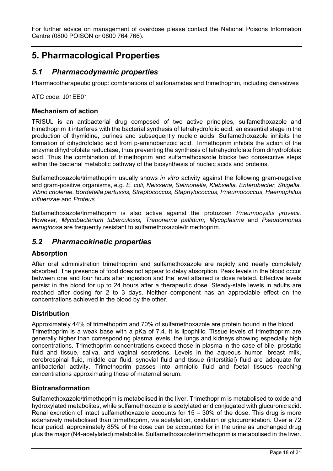For further advice on management of overdose please contact the National Poisons Information Centre (0800 POISON or 0800 764 766).

# **5. Pharmacological Properties**

# *5.1 Pharmacodynamic properties*

Pharmacotherapeutic group: combinations of sulfonamides and trimethoprim, including derivatives

ATC code: J01EE01

# **Mechanism of action**

TRISUL is an antibacterial drug composed of two active principles, sulfamethoxazole and trimethoprim it interferes with the bacterial synthesis of tetrahydrofolic acid, an essential stage in the production of thymidine, purines and subsequently nucleic acids. Sulfamethoxazole inhibits the formation of dihydrofolatic acid from p-aminobenzoic acid. Trimethoprim inhibits the action of the enzyme dihydrofolate reductase, thus preventing the synthesis of tetrahydrofolate from dihydrofolaic acid. Thus the combination of trimethoprim and sulfamethoxazole blocks two consecutive steps within the bacterial metabolic pathway of the biosynthesis of nucleic acids and proteins.

Sulfamethoxazole/trimethoprim usually shows *in vitro* activity against the following gram-negative and gram-positive organisms, e.g. *E. coli, Neisseria, Salmonella, Klebsiella, Enterobacter, Shigella, Vibrio cholerae, Bordetella pertussis, Streptococcus, Staphylococcus, Pneumococcus, Haemophilus influenzae* and *Proteus*.

Sulfamethoxazole/trimethoprim is also active against the protozoan *Pneumocystis jirovecii*. However, *Mycobacterium tuberculosis, Treponema pallidum, Mycoplasma* and *Pseudomonas aeruginosa* are frequently resistant to sulfamethoxazole/trimethoprim.

# *5.2 Pharmacokinetic properties*

# **Absorption**

After oral administration trimethoprim and sulfamethoxazole are rapidly and nearly completely absorbed. The presence of food does not appear to delay absorption. Peak levels in the blood occur between one and four hours after ingestion and the level attained is dose related. Effective levels persist in the blood for up to 24 hours after a therapeutic dose. Steady-state levels in adults are reached after dosing for 2 to 3 days. Neither component has an appreciable effect on the concentrations achieved in the blood by the other.

# **Distribution**

Approximately 44% of trimethoprim and 70% of sulfamethoxazole are protein bound in the blood. Trimethoprim is a weak base with a pKa of 7.4. It is lipophilic. Tissue levels of trimethoprim are generally higher than corresponding plasma levels, the lungs and kidneys showing especially high concentrations. Trimethoprim concentrations exceed those in plasma in the case of bile, prostatic fluid and tissue, saliva, and vaginal secretions. Levels in the aqueous humor, breast milk, cerebrospinal fluid, middle ear fluid, synovial fluid and tissue (interstitial) fluid are adequate for antibacterial activity. Trimethoprim passes into amniotic fluid and foetal tissues reaching concentrations approximating those of maternal serum.

# **Biotransformation**

Sulfamethoxazole/trimethoprim is metabolised in the liver. Trimethoprim is metabolised to oxide and hydroxylated metabolites, while sulfamethoxazole is acetylated and conjugated with glucuronic acid. Renal excretion of intact sulfamethoxazole accounts for 15 – 30% of the dose. This drug is more extensively metabolised than trimethoprim, via acetylation, oxidation or glucuronidation. Over a 72 hour period, approximately 85% of the dose can be accounted for in the urine as unchanged drug plus the major (N4-acetylated) metabolite. Sulfamethoxazole/trimethoprim is metabolised in the liver.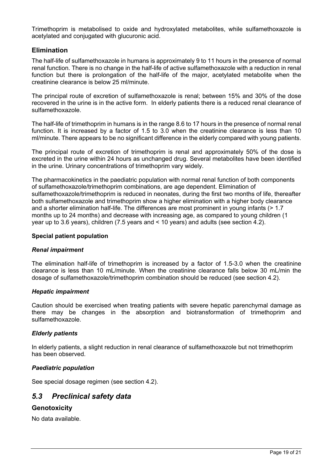Trimethoprim is metabolised to oxide and hydroxylated metabolites, while sulfamethoxazole is acetylated and conjugated with glucuronic acid.

## **Elimination**

The half-life of sulfamethoxazole in humans is approximately 9 to 11 hours in the presence of normal renal function. There is no change in the half-life of active sulfamethoxazole with a reduction in renal function but there is prolongation of the half-life of the major, acetylated metabolite when the creatinine clearance is below 25 ml/minute.

The principal route of excretion of sulfamethoxazole is renal; between 15% and 30% of the dose recovered in the urine is in the active form. In elderly patients there is a reduced renal clearance of sulfamethoxazole.

The half-life of trimethoprim in humans is in the range 8.6 to 17 hours in the presence of normal renal function. It is increased by a factor of 1.5 to 3.0 when the creatinine clearance is less than 10 ml/minute. There appears to be no significant difference in the elderly compared with young patients.

The principal route of excretion of trimethoprim is renal and approximately 50% of the dose is excreted in the urine within 24 hours as unchanged drug. Several metabolites have been identified in the urine. Urinary concentrations of trimethoprim vary widely.

The pharmacokinetics in the paediatric population with normal renal function of both components of sulfamethoxazole/trimethoprim combinations, are age dependent. Elimination of sulfamethoxazole/trimethoprim is reduced in neonates, during the first two months of life, thereafter both sulfamethoxazole and trimethoprim show a higher elimination with a higher body clearance and a shorter elimination half-life. The differences are most prominent in young infants (> 1.7 months up to 24 months) and decrease with increasing age, as compared to young children (1 year up to 3.6 years), children (7.5 years and < 10 years) and adults (see section 4.2).

#### **Special patient population**

### *Renal impairment*

The elimination half-life of trimethoprim is increased by a factor of 1.5-3.0 when the creatinine clearance is less than 10 mL/minute. When the creatinine clearance falls below 30 mL/min the dosage of sulfamethoxazole/trimethoprim combination should be reduced (see section 4.2).

### *Hepatic impairment*

Caution should be exercised when treating patients with severe hepatic parenchymal damage as there may be changes in the absorption and biotransformation of trimethoprim and sulfamethoxazole.

### *Elderly patients*

In elderly patients, a slight reduction in renal clearance of sulfamethoxazole but not trimethoprim has been observed.

#### *Paediatric population*

See special dosage regimen (see section 4.2).

# *5.3 Preclinical safety data*

# **Genotoxicity**

No data available.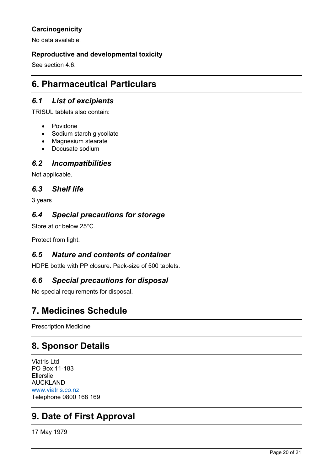# **Carcinogenicity**

No data available.

# **Reproductive and developmental toxicity**

See section 4.6.

# **6. Pharmaceutical Particulars**

# *6.1 List of excipients*

TRISUL tablets also contain:

- Povidone
- Sodium starch glycollate
- Magnesium stearate
- Docusate sodium

# *6.2 Incompatibilities*

Not applicable.

# *6.3 Shelf life*

3 years

# *6.4 Special precautions for storage*

Store at or below 25°C.

Protect from light.

# *6.5 Nature and contents of container*

HDPE bottle with PP closure. Pack-size of 500 tablets.

# *6.6 Special precautions for disposal*

No special requirements for disposal.

# **7. Medicines Schedule**

Prescription Medicine

# **8. Sponsor Details**

Viatris Ltd PO Box 11-183 Ellerslie AUCKLAND [www.viatris.co.nz](http://www.viatris.co.nz) Telephone 0800 168 169

# **9. Date of First Approval**

17 May 1979